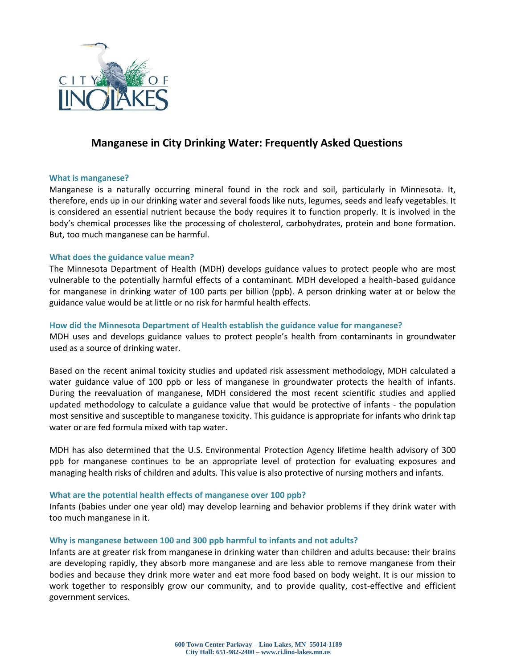

# **Manganese in City Drinking Water: Frequently Asked Questions**

# **What is manganese?**

Manganese is a naturally occurring mineral found in the rock and soil, particularly in Minnesota. It, therefore, ends up in our drinking water and several foods like nuts, legumes, seeds and leafy vegetables. It is considered an essential nutrient because the body requires it to function properly. It is involved in the body's chemical processes like the processing of cholesterol, carbohydrates, protein and bone formation. But, too much manganese can be harmful.

# **What does the guidance value mean?**

The Minnesota Department of Health (MDH) develops guidance values to protect people who are most vulnerable to the potentially harmful effects of a contaminant. MDH developed a health-based guidance for manganese in drinking water of 100 parts per billion (ppb). A person drinking water at or below the guidance value would be at little or no risk for harmful health effects.

# **How did the Minnesota Department of Health establish the guidance value for manganese?**

MDH uses and develops guidance values to protect people's health from contaminants in groundwater used as a source of drinking water.

Based on the recent animal toxicity studies and updated risk assessment methodology, MDH calculated a water guidance value of 100 ppb or less of manganese in groundwater protects the health of infants. During the reevaluation of manganese, MDH considered the most recent scientific studies and applied updated methodology to calculate a guidance value that would be protective of infants - the population most sensitive and susceptible to manganese toxicity. This guidance is appropriate for infants who drink tap water or are fed formula mixed with tap water.

MDH has also determined that the U.S. Environmental Protection Agency lifetime health advisory of 300 ppb for manganese continues to be an appropriate level of protection for evaluating exposures and managing health risks of children and adults. This value is also protective of nursing mothers and infants.

### **What are the potential health effects of manganese over 100 ppb?**

Infants (babies under one year old) may develop learning and behavior problems if they drink water with too much manganese in it.

### **Why is manganese between 100 and 300 ppb harmful to infants and not adults?**

Infants are at greater risk from manganese in drinking water than children and adults because: their brains are developing rapidly, they absorb more manganese and are less able to remove manganese from their bodies and because they drink more water and eat more food based on body weight. It is our mission to work together to responsibly grow our community, and to provide quality, cost-effective and efficient government services.